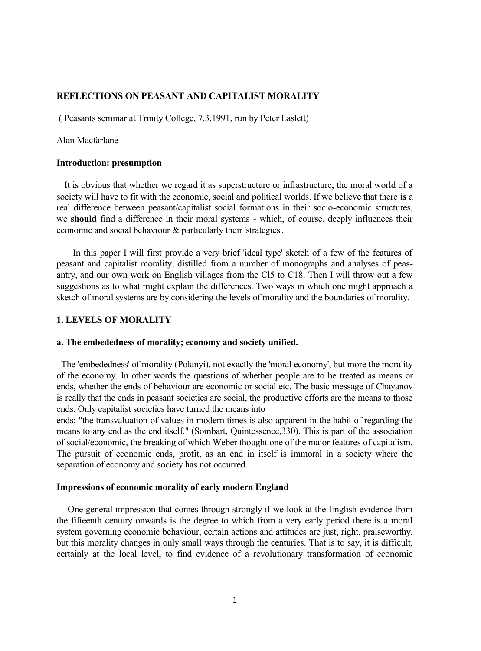# **REFLECTIONS ON PEASANT AND CAPITALIST MORALITY**

( Peasants seminar at Trinity College, 7.3.1991, run by Peter Laslett)

# Alan Macfarlane

# **Introduction: presumption**

It is obvious that whether we regard it as superstructure or infrastructure, the moral world of a society will have to fit with the economic, social and political worlds. If we believe that there **is** a real difference between peasant/capitalist social formations in their socio-economic structures, we **should** find a difference in their moral systems - which, of course, deeply influences their economic and social behaviour & particularly their 'strategies'.

In this paper I will first provide a very brief 'ideal type' sketch of a few of the features of peasant and capitalist morality, distilled from a number of monographs and analyses of peasantry, and our own work on English villages from the Cl5 to C18. Then I will throw out a few suggestions as to what might explain the differences. Two ways in which one might approach a sketch of moral systems are by considering the levels of morality and the boundaries of morality.

### **1. LEVELS OF MORALITY**

### **a. The embededness of morality; economy and society unified.**

The 'embededness' of morality (Polanyi), not exactly the 'moral economy', but more the morality of the economy. In other words the questions of whether people are to be treated as means or ends, whether the ends of behaviour are economic or social etc. The basic message of Chayanov is really that the ends in peasant societies are social, the productive efforts are the means to those ends. Only capitalist societies have turned the means into

ends: "the transvaluation of values in modern times is also apparent in the habit of regarding the means to any end as the end itself." (Sombart, Quintessence,330). This is part of the association of social/economic, the breaking of which Weber thought one of the major features of capitalism. The pursuit of economic ends, profit, as an end in itself is immoral in a society where the separation of economy and society has not occurred.

# **Impressions of economic morality of early modern England**

One general impression that comes through strongly if we look at the English evidence from the fifteenth century onwards is the degree to which from a very early period there is a moral system governing economic behaviour, certain actions and attitudes are just, right, praiseworthy, but this morality changes in only small ways through the centuries. That is to say, it is difficult, certainly at the local level, to find evidence of a revolutionary transformation of economic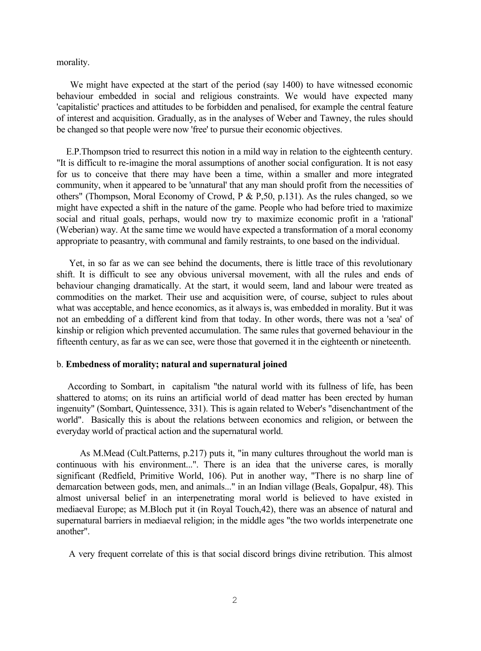morality.

We might have expected at the start of the period (say 1400) to have witnessed economic behaviour embedded in social and religious constraints. We would have expected many 'capitalistic' practices and attitudes to be forbidden and penalised, for example the central feature of interest and acquisition. Gradually, as in the analyses of Weber and Tawney, the rules should be changed so that people were now 'free' to pursue their economic objectives.

E.P.Thompson tried to resurrect this notion in a mild way in relation to the eighteenth century. "It is difficult to re-imagine the moral assumptions of another social configuration. It is not easy for us to conceive that there may have been a time, within a smaller and more integrated community, when it appeared to be 'unnatural' that any man should profit from the necessities of others" (Thompson, Moral Economy of Crowd, P & P,50, p.131). As the rules changed, so we might have expected a shift in the nature of the game. People who had before tried to maximize social and ritual goals, perhaps, would now try to maximize economic profit in a 'rational' (Weberian) way. At the same time we would have expected a transformation of a moral economy appropriate to peasantry, with communal and family restraints, to one based on the individual.

Yet, in so far as we can see behind the documents, there is little trace of this revolutionary shift. It is difficult to see any obvious universal movement, with all the rules and ends of behaviour changing dramatically. At the start, it would seem, land and labour were treated as commodities on the market. Their use and acquisition were, of course, subject to rules about what was acceptable, and hence economics, as it always is, was embedded in morality. But it was not an embedding of a different kind from that today. In other words, there was not a 'sea' of kinship or religion which prevented accumulation. The same rules that governed behaviour in the fifteenth century, as far as we can see, were those that governed it in the eighteenth or nineteenth.

#### b. **Embedness of morality; natural and supernatural joined**

According to Sombart, in capitalism "the natural world with its fullness of life, has been shattered to atoms; on its ruins an artificial world of dead matter has been erected by human ingenuity" (Sombart, Quintessence, 331). This is again related to Weber's "disenchantment of the world". Basically this is about the relations between economics and religion, or between the everyday world of practical action and the supernatural world.

As M.Mead (Cult.Patterns, p.217) puts it, "in many cultures throughout the world man is continuous with his environment...". There is an idea that the universe cares, is morally significant (Redfield, Primitive World, 106). Put in another way, "There is no sharp line of demarcation between gods, men, and animals..." in an Indian village (Beals, Gopalpur, 48). This almost universal belief in an interpenetrating moral world is believed to have existed in mediaeval Europe; as M.Bloch put it (in Royal Touch,42), there was an absence of natural and supernatural barriers in mediaeval religion; in the middle ages "the two worlds interpenetrate one another".

A very frequent correlate of this is that social discord brings divine retribution. This almost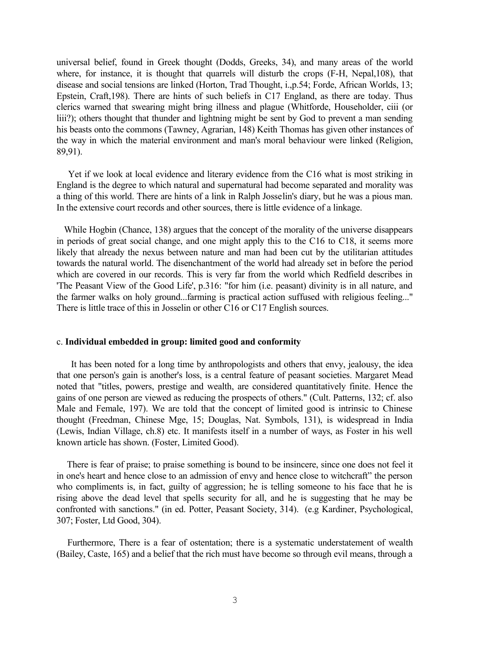universal belief, found in Greek thought (Dodds, Greeks, 34), and many areas of the world where, for instance, it is thought that quarrels will disturb the crops (F-H, Nepal,108), that disease and social tensions are linked (Horton, Trad Thought, i.,p.54; Forde, African Worlds, 13; Epstein, Craft,198). There are hints of such beliefs in C17 England, as there are today. Thus clerics warned that swearing might bring illness and plague (Whitforde, Householder, ciii (or liii?); others thought that thunder and lightning might be sent by God to prevent a man sending his beasts onto the commons (Tawney, Agrarian, 148) Keith Thomas has given other instances of the way in which the material environment and man's moral behaviour were linked (Religion, 89,91).

Yet if we look at local evidence and literary evidence from the C16 what is most striking in England is the degree to which natural and supernatural had become separated and morality was a thing of this world. There are hints of a link in Ralph Josselin's diary, but he was a pious man. In the extensive court records and other sources, there is little evidence of a linkage.

 While Hogbin (Chance, 138) argues that the concept of the morality of the universe disappears in periods of great social change, and one might apply this to the C16 to C18, it seems more likely that already the nexus between nature and man had been cut by the utilitarian attitudes towards the natural world. The disenchantment of the world had already set in before the period which are covered in our records. This is very far from the world which Redfield describes in 'The Peasant View of the Good Life', p.316: "for him (i.e. peasant) divinity is in all nature, and the farmer walks on holy ground...farming is practical action suffused with religious feeling..." There is little trace of this in Josselin or other C16 or C17 English sources.

### c. **Individual embedded in group: limited good and conformity**

It has been noted for a long time by anthropologists and others that envy, jealousy, the idea that one person's gain is another's loss, is a central feature of peasant societies. Margaret Mead noted that "titles, powers, prestige and wealth, are considered quantitatively finite. Hence the gains of one person are viewed as reducing the prospects of others." (Cult. Patterns, 132; cf. also Male and Female, 197). We are told that the concept of limited good is intrinsic to Chinese thought (Freedman, Chinese Mge, 15; Douglas, Nat. Symbols, 131), is widespread in India (Lewis, Indian Village, ch.8) etc. It manifests itself in a number of ways, as Foster in his well known article has shown. (Foster, Limited Good).

There is fear of praise; to praise something is bound to be insincere, since one does not feel it in one's heart and hence close to an admission of envy and hence close to witchcraft" the person who compliments is, in fact, guilty of aggression; he is telling someone to his face that he is rising above the dead level that spells security for all, and he is suggesting that he may be confronted with sanctions." (in ed. Potter, Peasant Society, 314). (e.g Kardiner, Psychological, 307; Foster, Ltd Good, 304).

Furthermore, There is a fear of ostentation; there is a systematic understatement of wealth (Bailey, Caste, 165) and a belief that the rich must have become so through evil means, through a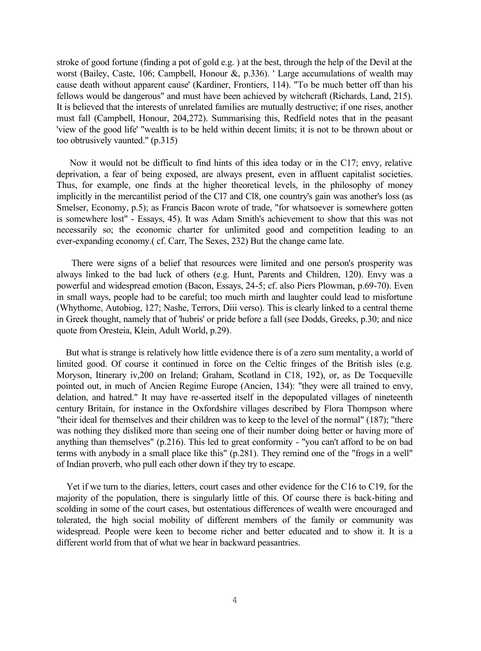stroke of good fortune (finding a pot of gold e.g. ) at the best, through the help of the Devil at the worst (Bailey, Caste, 106; Campbell, Honour &, p.336). ' Large accumulations of wealth may cause death without apparent cause' (Kardiner, Frontiers, 114). "To be much better off than his fellows would be dangerous" and must have been achieved by witchcraft (Richards, Land, 215). It is believed that the interests of unrelated families are mutually destructive; if one rises, another must fall (Campbell, Honour, 204,272). Summarising this, Redfield notes that in the peasant 'view of the good life' "wealth is to be held within decent limits; it is not to be thrown about or too obtrusively vaunted." (p.315)

Now it would not be difficult to find hints of this idea today or in the C17; envy, relative deprivation, a fear of being exposed, are always present, even in affluent capitalist societies. Thus, for example, one finds at the higher theoretical levels, in the philosophy of money implicitly in the mercantilist period of the Cl7 and Cl8, one country's gain was another's loss (as Smelser, Economy, p.5); as Francis Bacon wrote of trade, "for whatsoever is somewhere gotten is somewhere lost" - Essays, 45). It was Adam Smith's achievement to show that this was not necessarily so; the economic charter for unlimited good and competition leading to an ever-expanding economy.( cf. Carr, The Sexes, 232) But the change came late.

There were signs of a belief that resources were limited and one person's prosperity was always linked to the bad luck of others (e.g. Hunt, Parents and Children, 120). Envy was a powerful and widespread emotion (Bacon, Essays, 24-5; cf. also Piers Plowman, p.69-70). Even in small ways, people had to be careful; too much mirth and laughter could lead to misfortune (Whythorne, Autobiog, 127; Nashe, Terrors, Diii verso). This is clearly linked to a central theme in Greek thought, namely that of 'hubris' or pride before a fall (see Dodds, Greeks, p.30; and nice quote from Oresteia, Klein, Adult World, p.29).

 But what is strange is relatively how little evidence there is of a zero sum mentality, a world of limited good. Of course it continued in force on the Celtic fringes of the British isles (e.g. Moryson, Itinerary iv,200 on Ireland; Graham, Scotland in C18, 192), or, as De Tocqueville pointed out, in much of Ancien Regime Europe (Ancien, 134): "they were all trained to envy, delation, and hatred." It may have re-asserted itself in the depopulated villages of nineteenth century Britain, for instance in the Oxfordshire villages described by Flora Thompson where "their ideal for themselves and their children was to keep to the level of the normal" (187); "there was nothing they disliked more than seeing one of their number doing better or having more of anything than themselves" (p.216). This led to great conformity - "you can't afford to be on bad terms with anybody in a small place like this" (p.281). They remind one of the "frogs in a well" of Indian proverb, who pull each other down if they try to escape.

 Yet if we turn to the diaries, letters, court cases and other evidence for the C16 to C19, for the majority of the population, there is singularly little of this. Of course there is back-biting and scolding in some of the court cases, but ostentatious differences of wealth were encouraged and tolerated, the high social mobility of different members of the family or community was widespread. People were keen to become richer and better educated and to show it. It is a different world from that of what we hear in backward peasantries.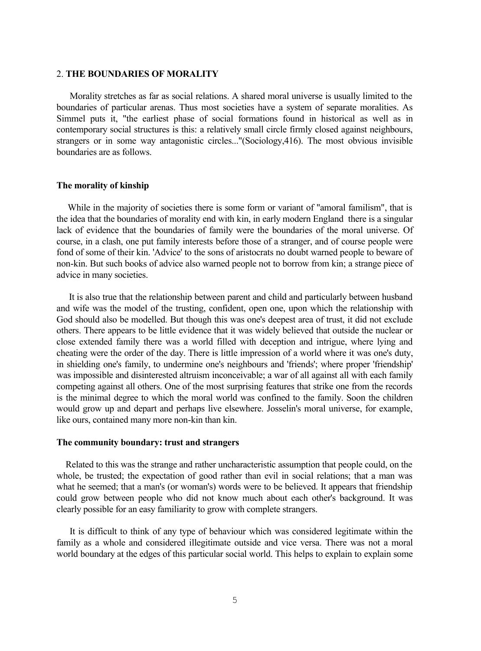#### 2. **THE BOUNDARIES OF MORALITY**

Morality stretches as far as social relations. A shared moral universe is usually limited to the boundaries of particular arenas. Thus most societies have a system of separate moralities. As Simmel puts it, "the earliest phase of social formations found in historical as well as in contemporary social structures is this: a relatively small circle firmly closed against neighbours, strangers or in some way antagonistic circles..."(Sociology,416). The most obvious invisible boundaries are as follows.

# **The morality of kinship**

While in the majority of societies there is some form or variant of "amoral familism", that is the idea that the boundaries of morality end with kin, in early modern England there is a singular lack of evidence that the boundaries of family were the boundaries of the moral universe. Of course, in a clash, one put family interests before those of a stranger, and of course people were fond of some of their kin. 'Advice' to the sons of aristocrats no doubt warned people to beware of non-kin. But such books of advice also warned people not to borrow from kin; a strange piece of advice in many societies.

 It is also true that the relationship between parent and child and particularly between husband and wife was the model of the trusting, confident, open one, upon which the relationship with God should also be modelled. But though this was one's deepest area of trust, it did not exclude others. There appears to be little evidence that it was widely believed that outside the nuclear or close extended family there was a world filled with deception and intrigue, where lying and cheating were the order of the day. There is little impression of a world where it was one's duty, in shielding one's family, to undermine one's neighbours and 'friends'; where proper 'friendship' was impossible and disinterested altruism inconceivable; a war of all against all with each family competing against all others. One of the most surprising features that strike one from the records is the minimal degree to which the moral world was confined to the family. Soon the children would grow up and depart and perhaps live elsewhere. Josselin's moral universe, for example, like ours, contained many more non-kin than kin.

#### **The community boundary: trust and strangers**

Related to this was the strange and rather uncharacteristic assumption that people could, on the whole, be trusted; the expectation of good rather than evil in social relations; that a man was what he seemed; that a man's (or woman's) words were to be believed. It appears that friendship could grow between people who did not know much about each other's background. It was clearly possible for an easy familiarity to grow with complete strangers.

It is difficult to think of any type of behaviour which was considered legitimate within the family as a whole and considered illegitimate outside and vice versa. There was not a moral world boundary at the edges of this particular social world. This helps to explain to explain some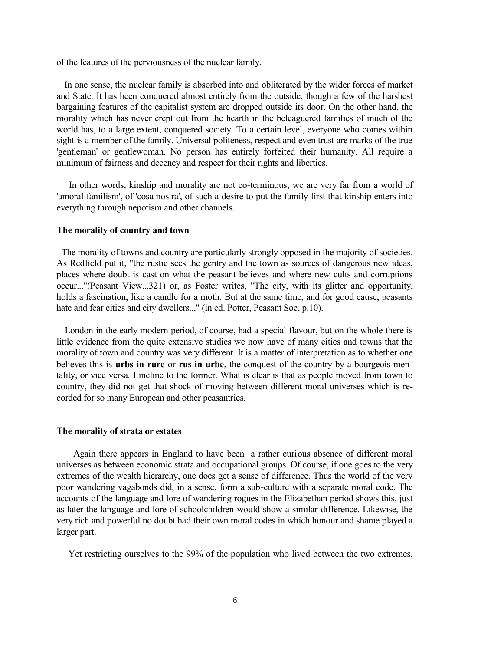of the features of the perviousness of the nuclear family.

In one sense, the nuclear family is absorbed into and obliterated by the wider forces of market and State. It has been conquered almost entirely from the outside, though a few of the harshest bargaining features of the capitalist system are dropped outside its door. On the other hand, the morality which has never crept out from the hearth in the beleaguered families of much of the world has, to a large extent, conquered society. To a certain level, everyone who comes within sight is a member of the family. Universal politeness, respect and even trust are marks of the true 'gentleman' or gentlewoman. No person has entirely forfeited their humanity. All require a minimum of fairness and decency and respect for their rights and liberties.

In other words, kinship and morality are not co-terminous; we are very far from a world of 'amoral familism', of 'cosa nostra', of such a desire to put the family first that kinship enters into everything through nepotism and other channels.

## **The morality of country and town**

The morality of towns and country are particularly strongly opposed in the majority of societies. As Redfield put it, "the rustic sees the gentry and the town as sources of dangerous new ideas, places where doubt is cast on what the peasant believes and where new cults and corruptions occur..."(Peasant View...321) or, as Foster writes, "The city, with its glitter and opportunity, holds a fascination, like a candle for a moth. But at the same time, and for good cause, peasants hate and fear cities and city dwellers..." (in ed. Potter, Peasant Soc, p.10).

London in the early modern period, of course, had a special flavour, but on the whole there is little evidence from the quite extensive studies we now have of many cities and towns that the morality of town and country was very different. It is a matter of interpretation as to whether one believes this is **urbs in rure** or **rus in urbe**, the conquest of the country by a bourgeois mentality, or vice versa. I incline to the former. What is clear is that as people moved from town to country, they did not get that shock of moving between different moral universes which is recorded for so many European and other peasantries.

### **The morality of strata or estates**

Again there appears in England to have been a rather curious absence of different moral universes as between economic strata and occupational groups. Of course, if one goes to the very extremes of the wealth hierarchy, one does get a sense of difference. Thus the world of the very poor wandering vagabonds did, in a sense, form a sub-culture with a separate moral code. The accounts of the language and lore of wandering rogues in the Elizabethan period shows this, just as later the language and lore of schoolchildren would show a similar difference. Likewise, the very rich and powerful no doubt had their own moral codes in which honour and shame played a larger part.

Yet restricting ourselves to the 99% of the population who lived between the two extremes,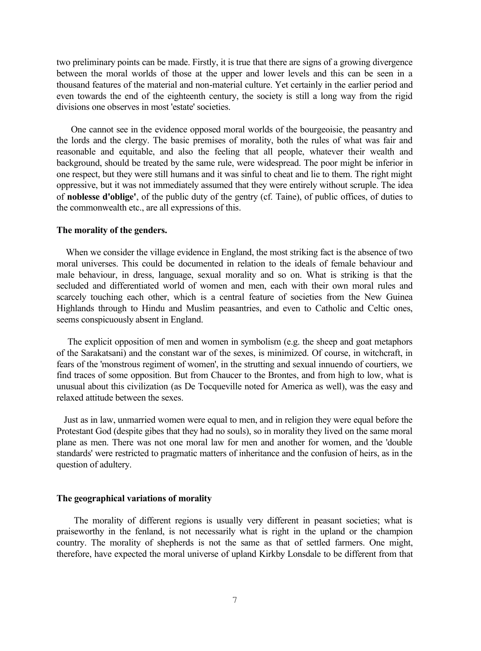two preliminary points can be made. Firstly, it is true that there are signs of a growing divergence between the moral worlds of those at the upper and lower levels and this can be seen in a thousand features of the material and non-material culture. Yet certainly in the earlier period and even towards the end of the eighteenth century, the society is still a long way from the rigid divisions one observes in most 'estate' societies.

One cannot see in the evidence opposed moral worlds of the bourgeoisie, the peasantry and the lords and the clergy. The basic premises of morality, both the rules of what was fair and reasonable and equitable, and also the feeling that all people, whatever their wealth and background, should be treated by the same rule, were widespread. The poor might be inferior in one respect, but they were still humans and it was sinful to cheat and lie to them. The right might oppressive, but it was not immediately assumed that they were entirely without scruple. The idea of **noblesse d'oblige'**, of the public duty of the gentry (cf. Taine), of public offices, of duties to the commonwealth etc., are all expressions of this.

### **The morality of the genders.**

 When we consider the village evidence in England, the most striking fact is the absence of two moral universes. This could be documented in relation to the ideals of female behaviour and male behaviour, in dress, language, sexual morality and so on. What is striking is that the secluded and differentiated world of women and men, each with their own moral rules and scarcely touching each other, which is a central feature of societies from the New Guinea Highlands through to Hindu and Muslim peasantries, and even to Catholic and Celtic ones, seems conspicuously absent in England.

The explicit opposition of men and women in symbolism (e.g. the sheep and goat metaphors of the Sarakatsani) and the constant war of the sexes, is minimized. Of course, in witchcraft, in fears of the 'monstrous regiment of women', in the strutting and sexual innuendo of courtiers, we find traces of some opposition. But from Chaucer to the Brontes, and from high to low, what is unusual about this civilization (as De Tocqueville noted for America as well), was the easy and relaxed attitude between the sexes.

Just as in law, unmarried women were equal to men, and in religion they were equal before the Protestant God (despite gibes that they had no souls), so in morality they lived on the same moral plane as men. There was not one moral law for men and another for women, and the 'double standards' were restricted to pragmatic matters of inheritance and the confusion of heirs, as in the question of adultery.

## **The geographical variations of morality**

The morality of different regions is usually very different in peasant societies; what is praiseworthy in the fenland, is not necessarily what is right in the upland or the champion country. The morality of shepherds is not the same as that of settled farmers. One might, therefore, have expected the moral universe of upland Kirkby Lonsdale to be different from that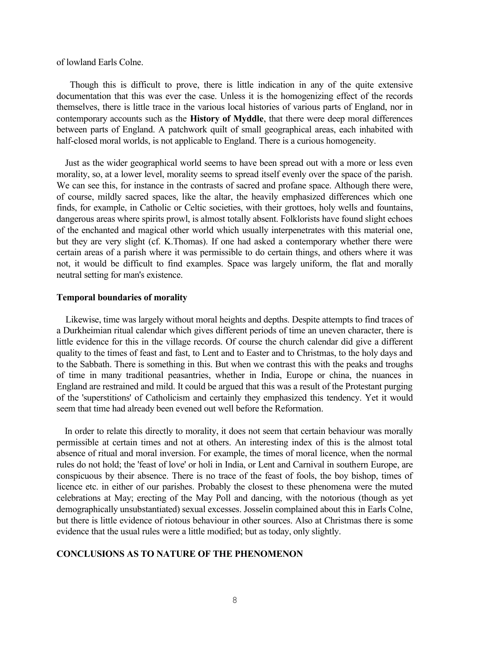of lowland Earls Colne.

Though this is difficult to prove, there is little indication in any of the quite extensive documentation that this was ever the case. Unless it is the homogenizing effect of the records themselves, there is little trace in the various local histories of various parts of England, nor in contemporary accounts such as the **History of Myddle**, that there were deep moral differences between parts of England. A patchwork quilt of small geographical areas, each inhabited with half-closed moral worlds, is not applicable to England. There is a curious homogeneity.

Just as the wider geographical world seems to have been spread out with a more or less even morality, so, at a lower level, morality seems to spread itself evenly over the space of the parish. We can see this, for instance in the contrasts of sacred and profane space. Although there were, of course, mildly sacred spaces, like the altar, the heavily emphasized differences which one finds, for example, in Catholic or Celtic societies, with their grottoes, holy wells and fountains, dangerous areas where spirits prowl, is almost totally absent. Folklorists have found slight echoes of the enchanted and magical other world which usually interpenetrates with this material one, but they are very slight (cf. K.Thomas). If one had asked a contemporary whether there were certain areas of a parish where it was permissible to do certain things, and others where it was not, it would be difficult to find examples. Space was largely uniform, the flat and morally neutral setting for man's existence.

#### **Temporal boundaries of morality**

Likewise, time was largely without moral heights and depths. Despite attempts to find traces of a Durkheimian ritual calendar which gives different periods of time an uneven character, there is little evidence for this in the village records. Of course the church calendar did give a different quality to the times of feast and fast, to Lent and to Easter and to Christmas, to the holy days and to the Sabbath. There is something in this. But when we contrast this with the peaks and troughs of time in many traditional peasantries, whether in India, Europe or china, the nuances in England are restrained and mild. It could be argued that this was a result of the Protestant purging of the 'superstitions' of Catholicism and certainly they emphasized this tendency. Yet it would seem that time had already been evened out well before the Reformation.

In order to relate this directly to morality, it does not seem that certain behaviour was morally permissible at certain times and not at others. An interesting index of this is the almost total absence of ritual and moral inversion. For example, the times of moral licence, when the normal rules do not hold; the 'feast of love' or holi in India, or Lent and Carnival in southern Europe, are conspicuous by their absence. There is no trace of the feast of fools, the boy bishop, times of licence etc. in either of our parishes. Probably the closest to these phenomena were the muted celebrations at May; erecting of the May Poll and dancing, with the notorious (though as yet demographically unsubstantiated) sexual excesses. Josselin complained about this in Earls Colne, but there is little evidence of riotous behaviour in other sources. Also at Christmas there is some evidence that the usual rules were a little modified; but as today, only slightly.

# **CONCLUSIONS AS TO NATURE OF THE PHENOMENON**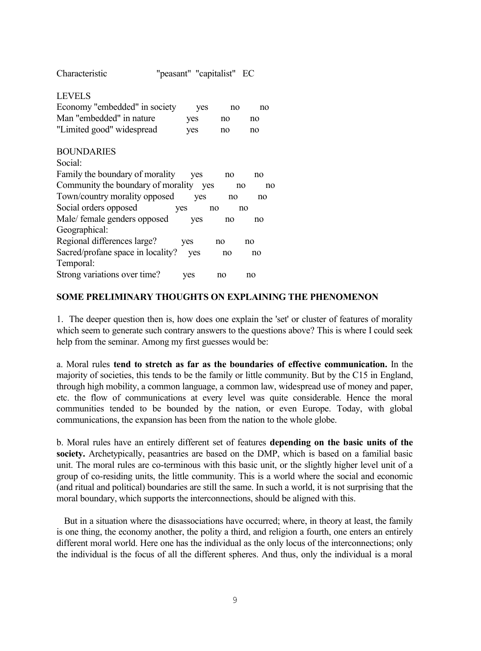Characteristic "peasant" "capitalist" EC

# LEVELS

| Economy "embedded" in society | <b>ves</b> | no | no |
|-------------------------------|------------|----|----|
| Man "embedded" in nature      | yes.       | no | no |
| "Limited good" widespread     | <b>ves</b> | no | no |

# BOUNDARIES

| Social:                            |     |     |          |
|------------------------------------|-----|-----|----------|
| Family the boundary of morality    | ves | no  | no       |
| Community the boundary of morality |     | ves | no<br>no |
| Town/country morality opposed      | ves | no  | no       |
| Social orders opposed              | ves | no  | no       |
| Male/ female genders opposed       | ves | no  | no       |
| Geographical:                      |     |     |          |
| Regional differences large?        | ves | no  | no       |
| Sacred/profane space in locality?  | ves | no  | no       |
| Temporal:                          |     |     |          |
| Strong variations over time?       | ves | no  | no       |

# **SOME PRELIMINARY THOUGHTS ON EXPLAINING THE PHENOMENON**

1. The deeper question then is, how does one explain the 'set' or cluster of features of morality which seem to generate such contrary answers to the questions above? This is where I could seek help from the seminar. Among my first guesses would be:

a. Moral rules **tend to stretch as far as the boundaries of effective communication.** In the majority of societies, this tends to be the family or little community. But by the C15 in England, through high mobility, a common language, a common law, widespread use of money and paper, etc. the flow of communications at every level was quite considerable. Hence the moral communities tended to be bounded by the nation, or even Europe. Today, with global communications, the expansion has been from the nation to the whole globe.

b. Moral rules have an entirely different set of features **depending on the basic units of the society.** Archetypically, peasantries are based on the DMP, which is based on a familial basic unit. The moral rules are co-terminous with this basic unit, or the slightly higher level unit of a group of co-residing units, the little community. This is a world where the social and economic (and ritual and political) boundaries are still the same. In such a world, it is not surprising that the moral boundary, which supports the interconnections, should be aligned with this.

But in a situation where the disassociations have occurred; where, in theory at least, the family is one thing, the economy another, the polity a third, and religion a fourth, one enters an entirely different moral world. Here one has the individual as the only locus of the interconnections; only the individual is the focus of all the different spheres. And thus, only the individual is a moral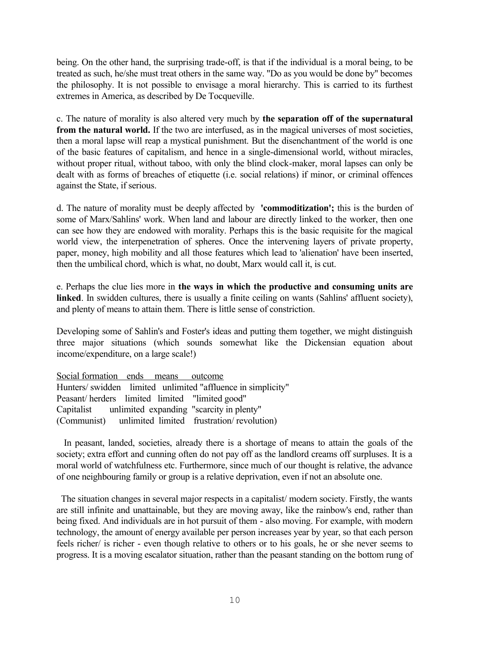being. On the other hand, the surprising trade-off, is that if the individual is a moral being, to be treated as such, he/she must treat others in the same way. "Do as you would be done by" becomes the philosophy. It is not possible to envisage a moral hierarchy. This is carried to its furthest extremes in America, as described by De Tocqueville.

c. The nature of morality is also altered very much by **the separation off of the supernatural from the natural world.** If the two are interfused, as in the magical universes of most societies, then a moral lapse will reap a mystical punishment. But the disenchantment of the world is one of the basic features of capitalism, and hence in a single-dimensional world, without miracles, without proper ritual, without taboo, with only the blind clock-maker, moral lapses can only be dealt with as forms of breaches of etiquette (i.e. social relations) if minor, or criminal offences against the State, if serious.

d. The nature of morality must be deeply affected by **'commoditization';** this is the burden of some of Marx/Sahlins' work. When land and labour are directly linked to the worker, then one can see how they are endowed with morality. Perhaps this is the basic requisite for the magical world view, the interpenetration of spheres. Once the intervening layers of private property, paper, money, high mobility and all those features which lead to 'alienation' have been inserted, then the umbilical chord, which is what, no doubt, Marx would call it, is cut.

e. Perhaps the clue lies more in **the ways in which the productive and consuming units are linked**. In swidden cultures, there is usually a finite ceiling on wants (Sahlins' affluent society), and plenty of means to attain them. There is little sense of constriction.

Developing some of Sahlin's and Foster's ideas and putting them together, we might distinguish three major situations (which sounds somewhat like the Dickensian equation about income/expenditure, on a large scale!)

Social formation ends means outcome Hunters/ swidden limited unlimited "affluence in simplicity" Peasant/ herders limited limited "limited good" Capitalist unlimited expanding "scarcity in plenty" (Communist) unlimited limited frustration/ revolution)

In peasant, landed, societies, already there is a shortage of means to attain the goals of the society; extra effort and cunning often do not pay off as the landlord creams off surpluses. It is a moral world of watchfulness etc. Furthermore, since much of our thought is relative, the advance of one neighbouring family or group is a relative deprivation, even if not an absolute one.

The situation changes in several major respects in a capitalist/ modern society. Firstly, the wants are still infinite and unattainable, but they are moving away, like the rainbow's end, rather than being fixed. And individuals are in hot pursuit of them - also moving. For example, with modern technology, the amount of energy available per person increases year by year, so that each person feels richer/ is richer - even though relative to others or to his goals, he or she never seems to progress. It is a moving escalator situation, rather than the peasant standing on the bottom rung of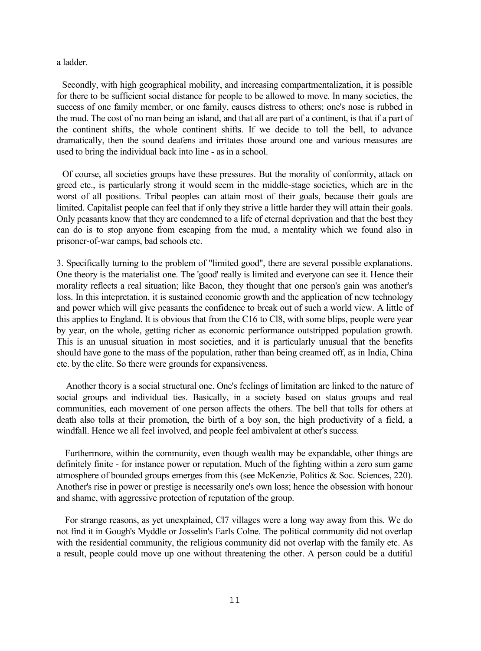a ladder.

Secondly, with high geographical mobility, and increasing compartmentalization, it is possible for there to be sufficient social distance for people to be allowed to move. In many societies, the success of one family member, or one family, causes distress to others; one's nose is rubbed in the mud. The cost of no man being an island, and that all are part of a continent, is that if a part of the continent shifts, the whole continent shifts. If we decide to toll the bell, to advance dramatically, then the sound deafens and irritates those around one and various measures are used to bring the individual back into line - as in a school.

Of course, all societies groups have these pressures. But the morality of conformity, attack on greed etc., is particularly strong it would seem in the middle-stage societies, which are in the worst of all positions. Tribal peoples can attain most of their goals, because their goals are limited. Capitalist people can feel that if only they strive a little harder they will attain their goals. Only peasants know that they are condemned to a life of eternal deprivation and that the best they can do is to stop anyone from escaping from the mud, a mentality which we found also in prisoner-of-war camps, bad schools etc.

3. Specifically turning to the problem of "limited good", there are several possible explanations. One theory is the materialist one. The 'good' really is limited and everyone can see it. Hence their morality reflects a real situation; like Bacon, they thought that one person's gain was another's loss. In this intepretation, it is sustained economic growth and the application of new technology and power which will give peasants the confidence to break out of such a world view. A little of this applies to England. It is obvious that from the C16 to Cl8, with some blips, people were year by year, on the whole, getting richer as economic performance outstripped population growth. This is an unusual situation in most societies, and it is particularly unusual that the benefits should have gone to the mass of the population, rather than being creamed off, as in India, China etc. by the elite. So there were grounds for expansiveness.

 Another theory is a social structural one. One's feelings of limitation are linked to the nature of social groups and individual ties. Basically, in a society based on status groups and real communities, each movement of one person affects the others. The bell that tolls for others at death also tolls at their promotion, the birth of a boy son, the high productivity of a field, a windfall. Hence we all feel involved, and people feel ambivalent at other's success.

Furthermore, within the community, even though wealth may be expandable, other things are definitely finite - for instance power or reputation. Much of the fighting within a zero sum game atmosphere of bounded groups emerges from this (see McKenzie, Politics & Soc. Sciences, 220). Another's rise in power or prestige is necessarily one's own loss; hence the obsession with honour and shame, with aggressive protection of reputation of the group.

For strange reasons, as yet unexplained, Cl7 villages were a long way away from this. We do not find it in Gough's Myddle or Josselin's Earls Colne. The political community did not overlap with the residential community, the religious community did not overlap with the family etc. As a result, people could move up one without threatening the other. A person could be a dutiful